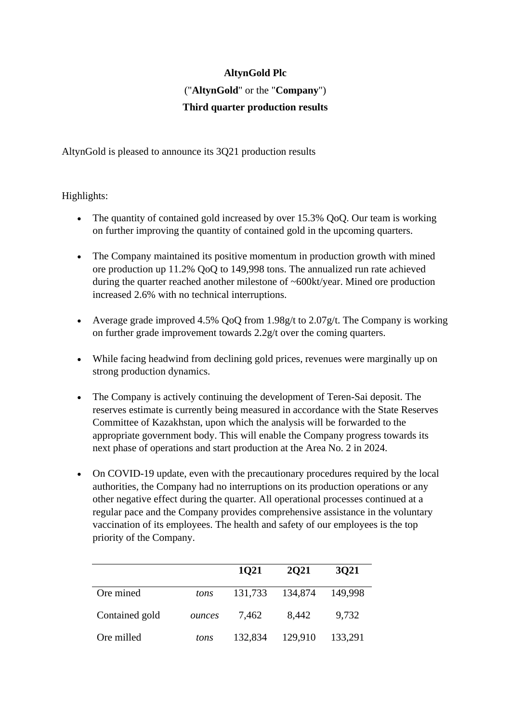# **AltynGold Plc** ("**AltynGold**" or the "**Company**") **Third quarter production results**

AltynGold is pleased to announce its 3Q21 production results

# Highlights:

- The quantity of contained gold increased by over 15.3% QoQ. Our team is working on further improving the quantity of contained gold in the upcoming quarters.
- The Company maintained its positive momentum in production growth with mined ore production up 11.2% QoQ to 149,998 tons. The annualized run rate achieved during the quarter reached another milestone of ~600kt/year. Mined ore production increased 2.6% with no technical interruptions.
- Average grade improved 4.5% QoQ from 1.98g/t to 2.07g/t. The Company is working on further grade improvement towards 2.2g/t over the coming quarters.
- While facing headwind from declining gold prices, revenues were marginally up on strong production dynamics.
- The Company is actively continuing the development of Teren-Sai deposit. The reserves estimate is currently being measured in accordance with the State Reserves Committee of Kazakhstan, upon which the analysis will be forwarded to the appropriate government body. This will enable the Company progress towards its next phase of operations and start production at the Area No. 2 in 2024.
- On COVID-19 update, even with the precautionary procedures required by the local authorities, the Company had no interruptions on its production operations or any other negative effect during the quarter. All operational processes continued at a regular pace and the Company provides comprehensive assistance in the voluntary vaccination of its employees. The health and safety of our employees is the top priority of the Company.

|                |        | 1021    | <b>2021</b> | 3021    |
|----------------|--------|---------|-------------|---------|
| Ore mined      | tons   | 131,733 | 134,874     | 149,998 |
| Contained gold | ounces | 7,462   | 8,442       | 9,732   |
| Ore milled     | tons   | 132,834 | 129,910     | 133,291 |